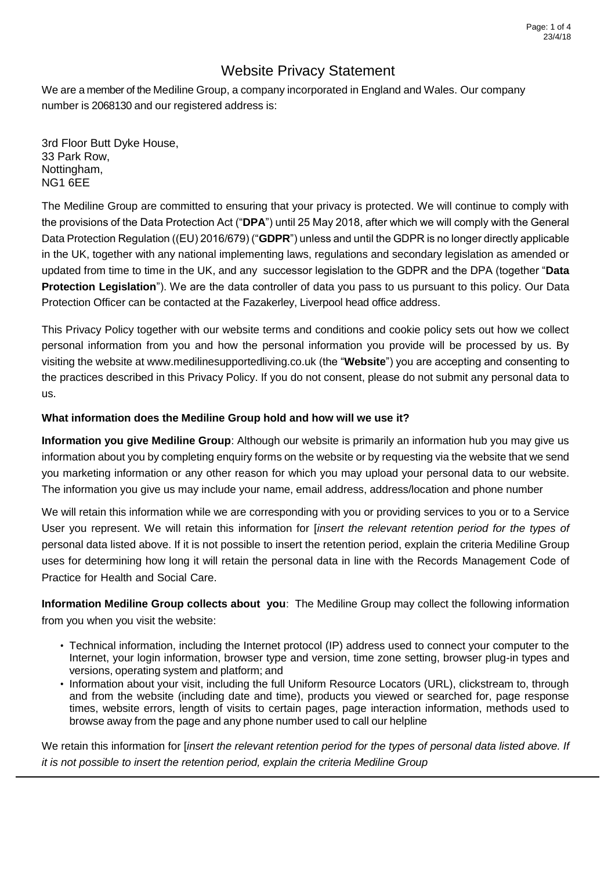We are a member of the Mediline Group, a company incorporated in England and Wales. Our company number is 2068130 and our registered address is:

3rd Floor Butt Dyke House, 33 Park Row, Nottingham, NG1 6EE

The Mediline Group are committed to ensuring that your privacy is protected. We will continue to comply with the provisions of the Data Protection Act ("**DPA**") until 25 May 2018, after which we will comply with the General Data Protection Regulation ((EU) 2016/679) ("**GDPR**") unless and until the GDPR is no longer directly applicable in the UK, together with any national implementing laws, regulations and secondary legislation as amended or updated from time to time in the UK, and any successor legislation to the GDPR and the DPA (together "**Data Protection Legislation**"). We are the data controller of data you pass to us pursuant to this policy. Our Data Protection Officer can be contacted at the Fazakerley, Liverpool head office address.

This Privacy Policy together with our website terms and conditions and cookie policy sets out how we collect personal information from you and how the personal information you provide will be processed by us. By visiting the website at www.medilinesupportedliving.co.uk (the "**Website**") you are accepting and consenting to the practices described in this Privacy Policy. If you do not consent, please do not submit any personal data to us.

## **What information does the Mediline Group hold and how will we use it?**

**Information you give Mediline Group**: Although our website is primarily an information hub you may give us information about you by completing enquiry forms on the website or by requesting via the website that we send you marketing information or any other reason for which you may upload your personal data to our website. The information you give us may include your name, email address, address/location and phone number

We will retain this information while we are corresponding with you or providing services to you or to a Service User you represent. We will retain this information for [*insert the relevant retention period for the types of*  personal data listed above. If it is not possible to insert the retention period, explain the criteria Mediline Group uses for determining how long it will retain the personal data in line with the Records Management Code of Practice for Health and Social Care.

**Information Mediline Group collects about you**: The Mediline Group may collect the following information from you when you visit the website:

- Technical information, including the Internet protocol (IP) address used to connect your computer to the Internet, your login information, browser type and version, time zone setting, browser plug-in types and versions, operating system and platform; and
- Information about your visit, including the full Uniform Resource Locators (URL), clickstream to, through and from the website (including date and time), products you viewed or searched for, page response times, website errors, length of visits to certain pages, page interaction information, methods used to browse away from the page and any phone number used to call our helpline

We retain this information for [*insert the relevant retention period for the types of personal data listed above. If it is not possible to insert the retention period, explain the criteria Mediline Group*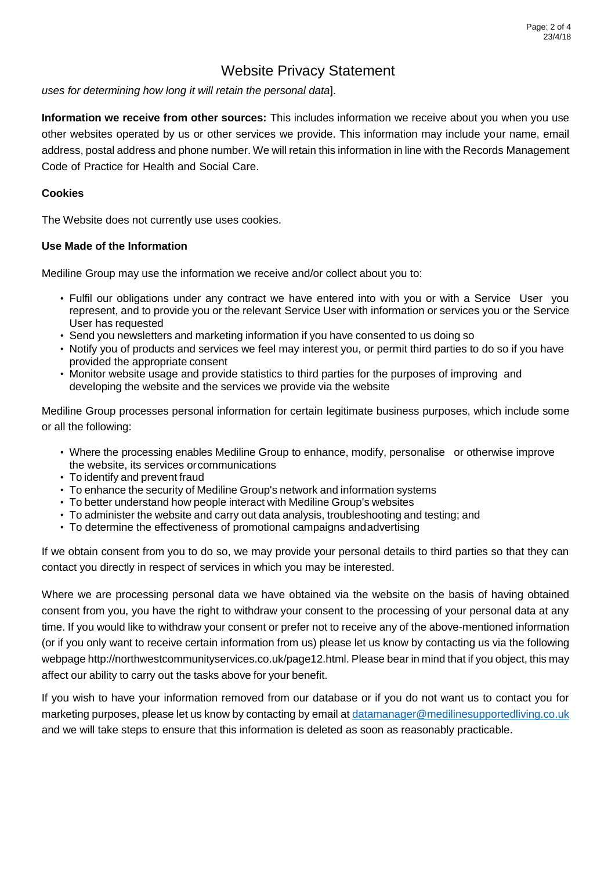*uses for determining how long it will retain the personal data*].

**Information we receive from other sources:** This includes information we receive about you when you use other websites operated by us or other services we provide. This information may include your name, email address, postal address and phone number. We will retain this information in line with the Records Management Code of Practice for Health and Social Care.

### **Cookies**

The Website does not currently use uses cookies.

#### **Use Made of the Information**

Mediline Group may use the information we receive and/or collect about you to:

- Fulfil our obligations under any contract we have entered into with you or with a Service User you represent, and to provide you or the relevant Service User with information or services you or the Service User has requested
- Send you newsletters and marketing information if you have consented to us doing so
- Notify you of products and services we feel may interest you, or permit third parties to do so if you have provided the appropriate consent
- Monitor website usage and provide statistics to third parties for the purposes of improving and developing the website and the services we provide via the website

Mediline Group processes personal information for certain legitimate business purposes, which include some or all the following:

- Where the processing enables Mediline Group to enhance, modify, personalise or otherwise improve the website, its services orcommunications
- To identify and prevent fraud
- To enhance the security of Mediline Group's network and information systems
- To better understand how people interact with Mediline Group's websites
- To administer the website and carry out data analysis, troubleshooting and testing; and
- To determine the effectiveness of promotional campaigns andadvertising

If we obtain consent from you to do so, we may provide your personal details to third parties so that they can contact you directly in respect of services in which you may be interested.

Where we are processing personal data we have obtained via the website on the basis of having obtained consent from you, you have the right to withdraw your consent to the processing of your personal data at any time. If you would like to withdraw your consent or prefer not to receive any of the above-mentioned information (or if you only want to receive certain information from us) please let us know by contacting us via the following webpage http://northwestcommunityservices.co.uk/page12.html. Please bear in mind that if you object, this may affect our ability to carry out the tasks above for your benefit.

If you wish to have your information removed from our database or if you do not want us to contact you for marketing purposes, please let us know by contacting by email a[t datamanager@medilinesupportedliving.co.uk](mailto:datamanager@medilinesupportedliving.co.uk) and we will take steps to ensure that this information is deleted as soon as reasonably practicable.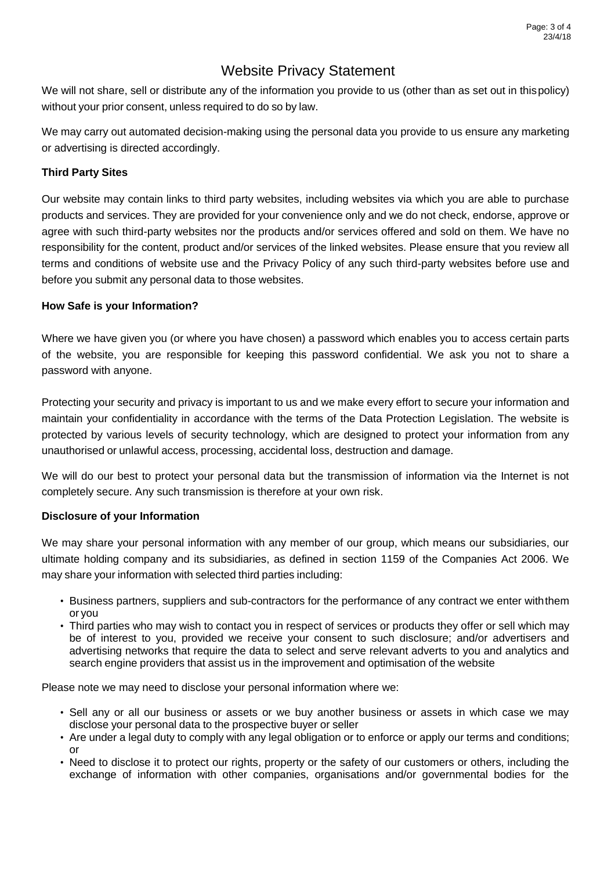We will not share, sell or distribute any of the information you provide to us (other than as set out in thispolicy) without your prior consent, unless required to do so by law.

We may carry out automated decision-making using the personal data you provide to us ensure any marketing or advertising is directed accordingly.

### **Third Party Sites**

Our website may contain links to third party websites, including websites via which you are able to purchase products and services. They are provided for your convenience only and we do not check, endorse, approve or agree with such third-party websites nor the products and/or services offered and sold on them. We have no responsibility for the content, product and/or services of the linked websites. Please ensure that you review all terms and conditions of website use and the Privacy Policy of any such third-party websites before use and before you submit any personal data to those websites.

## **How Safe is your Information?**

Where we have given you (or where you have chosen) a password which enables you to access certain parts of the website, you are responsible for keeping this password confidential. We ask you not to share a password with anyone.

Protecting your security and privacy is important to us and we make every effort to secure your information and maintain your confidentiality in accordance with the terms of the Data Protection Legislation. The website is protected by various levels of security technology, which are designed to protect your information from any unauthorised or unlawful access, processing, accidental loss, destruction and damage.

We will do our best to protect your personal data but the transmission of information via the Internet is not completely secure. Any such transmission is therefore at your own risk.

### **Disclosure of your Information**

We may share your personal information with any member of our group, which means our subsidiaries, our ultimate holding company and its subsidiaries, as defined in section 1159 of the Companies Act 2006. We may share your information with selected third parties including:

- Business partners, suppliers and sub-contractors for the performance of any contract we enter withthem or you
- Third parties who may wish to contact you in respect of services or products they offer or sell which may be of interest to you, provided we receive your consent to such disclosure; and/or advertisers and advertising networks that require the data to select and serve relevant adverts to you and analytics and search engine providers that assist us in the improvement and optimisation of the website

Please note we may need to disclose your personal information where we:

- Sell any or all our business or assets or we buy another business or assets in which case we may disclose your personal data to the prospective buyer or seller
- Are under a legal duty to comply with any legal obligation or to enforce or apply our terms and conditions; or
- Need to disclose it to protect our rights, property or the safety of our customers or others, including the exchange of information with other companies, organisations and/or governmental bodies for the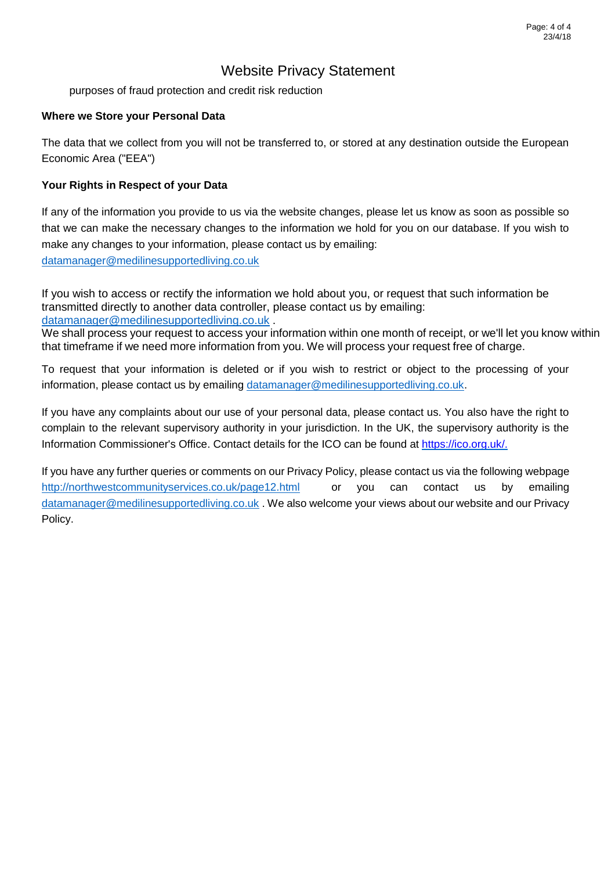purposes of fraud protection and credit risk reduction

### **Where we Store your Personal Data**

The data that we collect from you will not be transferred to, or stored at any destination outside the European Economic Area ("EEA")

## **Your Rights in Respect of your Data**

If any of the information you provide to us via the website changes, please let us know as soon as possible so that we can make the necessary changes to the information we hold for you on our database. If you wish to make any changes to your information, please contact us by emailing:

[datamanager@medilinesupportedliving.co.uk](mailto:datamanager@medilinesupportedliving.co.uk)

If you wish to access or rectify the information we hold about you, or request that such information be transmitted directly to another data controller, please contact us by emailing: [datamanager@medilinesupportedliving.co.uk](mailto:datamanager@medilinesupportedliving.co.uk) .

We shall process your request to access your information within one month of receipt, or we'll let you know within that timeframe if we need more information from you. We will process your request free of charge.

To request that your information is deleted or if you wish to restrict or object to the processing of your information, please contact us by emailing [datamanager@medilinesupportedliving.co.uk.](mailto:datamanager@medilinesupportedliving.co.uk)

If you have any complaints about our use of your personal data, please contact us. You also have the right to complain to the relevant supervisory authority in your jurisdiction. In the UK, the supervisory authority is the Information Commissioner's Office. Contact details for the ICO can be found at https://ico.org.uk/.

If you have any further queries or comments on our Privacy Policy, please contact us via the following webpage <http://northwestcommunityservices.co.uk/page12.html> or you can contact us by emailing [datamanager@medilinesupportedliving.co.uk](mailto:datamanager@medilinesupportedliving.co.uk) . We also welcome your views about our website and our Privacy Policy.